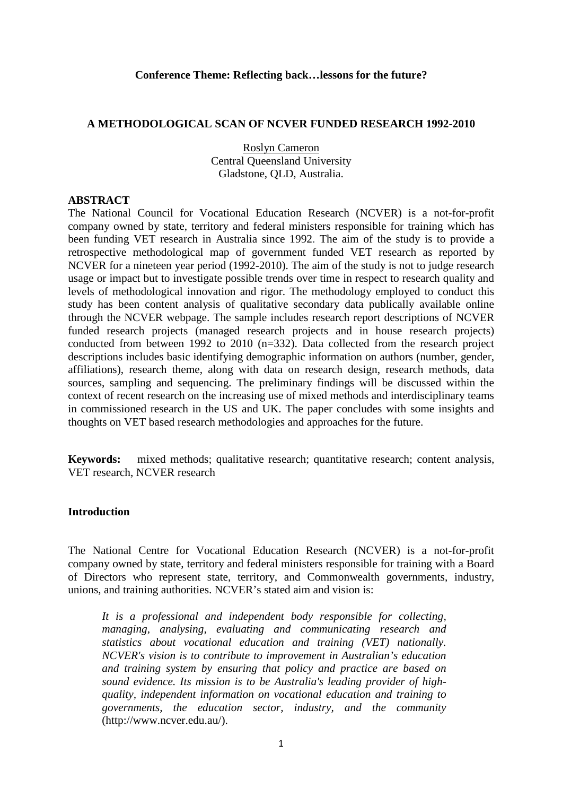#### **Conference Theme: Reflecting back…lessons for the future?**

### **A METHODOLOGICAL SCAN OF NCVER FUNDED RESEARCH 1992-2010**

Roslyn Cameron Central Queensland University Gladstone, QLD, Australia.

#### **ABSTRACT**

The National Council for Vocational Education Research (NCVER) is a not-for-profit company owned by state, territory and federal ministers responsible for training which has been funding VET research in Australia since 1992. The aim of the study is to provide a retrospective methodological map of government funded VET research as reported by NCVER for a nineteen year period (1992-2010). The aim of the study is not to judge research usage or impact but to investigate possible trends over time in respect to research quality and levels of methodological innovation and rigor. The methodology employed to conduct this study has been content analysis of qualitative secondary data publically available online through the NCVER webpage. The sample includes research report descriptions of NCVER funded research projects (managed research projects and in house research projects) conducted from between 1992 to 2010 (n=332). Data collected from the research project descriptions includes basic identifying demographic information on authors (number, gender, affiliations), research theme, along with data on research design, research methods, data sources, sampling and sequencing. The preliminary findings will be discussed within the context of recent research on the increasing use of mixed methods and interdisciplinary teams in commissioned research in the US and UK. The paper concludes with some insights and thoughts on VET based research methodologies and approaches for the future.

**Keywords:** mixed methods; qualitative research; quantitative research; content analysis, VET research, NCVER research

## **Introduction**

The National Centre for Vocational Education Research (NCVER) is a not-for-profit company owned by state, territory and federal ministers responsible for training with a Board of Directors who represent state, territory, and Commonwealth governments, industry, unions, and training authorities. NCVER's stated aim and vision is:

*It is a professional and independent body responsible for collecting, managing, analysing, evaluating and communicating research and statistics about vocational education and training (VET) nationally. NCVER's vision is to contribute to improvement in Australian's education and training system by ensuring that policy and practice are based on sound evidence. Its mission is to be Australia's leading provider of highquality, independent information on vocational education and training to governments, the education sector, industry, and the community*  (http://www.ncver.edu.au/).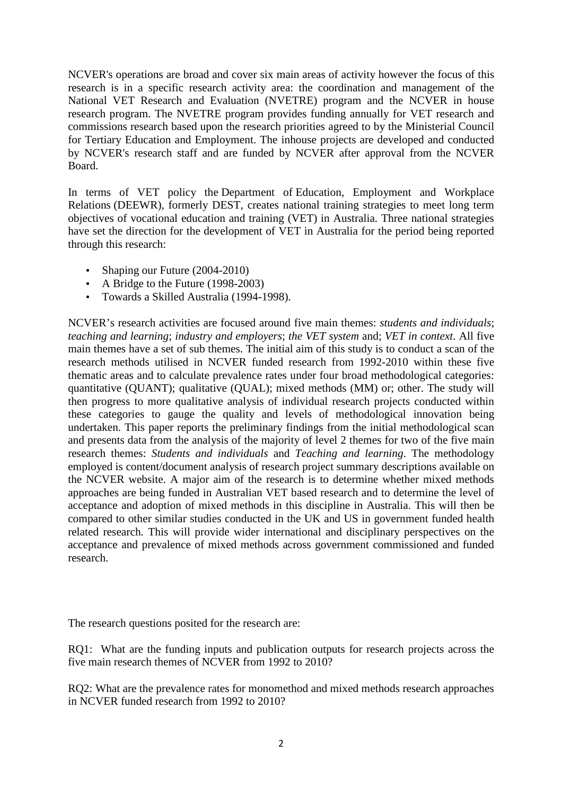NCVER's operations are broad and cover six main areas of activity however the focus of this research is in a specific research activity area: the coordination and management of the National VET Research and Evaluation (NVETRE) program and the NCVER in house research program. The NVETRE program provides funding annually for VET research and commissions research based upon the research priorities agreed to by the Ministerial Council for Tertiary Education and Employment. The inhouse projects are developed and conducted by NCVER's research staff and are funded by NCVER after approval from the NCVER Board.

In terms of VET policy the Department of Education, Employment and Workplace Relations (DEEWR), formerly DEST, creates national training strategies to meet long term objectives of vocational education and training (VET) in Australia. Three national strategies have set the direction for the development of VET in Australia for the period being reported through this research:

- Shaping our Future (2004-2010)
- A Bridge to the Future (1998-2003)
- Towards a Skilled Australia (1994-1998).

NCVER's research activities are focused around five main themes: *students and individuals*; *teaching and learning*; *industry and employers*; *the VET system* and; *VET in context*. All five main themes have a set of sub themes. The initial aim of this study is to conduct a scan of the research methods utilised in NCVER funded research from 1992-2010 within these five thematic areas and to calculate prevalence rates under four broad methodological categories: quantitative (QUANT); qualitative (QUAL); mixed methods (MM) or; other. The study will then progress to more qualitative analysis of individual research projects conducted within these categories to gauge the quality and levels of methodological innovation being undertaken. This paper reports the preliminary findings from the initial methodological scan and presents data from the analysis of the majority of level 2 themes for two of the five main research themes: *Students and individuals* and *Teaching and learning*. The methodology employed is content/document analysis of research project summary descriptions available on the NCVER website. A major aim of the research is to determine whether mixed methods approaches are being funded in Australian VET based research and to determine the level of acceptance and adoption of mixed methods in this discipline in Australia. This will then be compared to other similar studies conducted in the UK and US in government funded health related research. This will provide wider international and disciplinary perspectives on the acceptance and prevalence of mixed methods across government commissioned and funded research.

The research questions posited for the research are:

RQ1: What are the funding inputs and publication outputs for research projects across the five main research themes of NCVER from 1992 to 2010?

RQ2: What are the prevalence rates for monomethod and mixed methods research approaches in NCVER funded research from 1992 to 2010?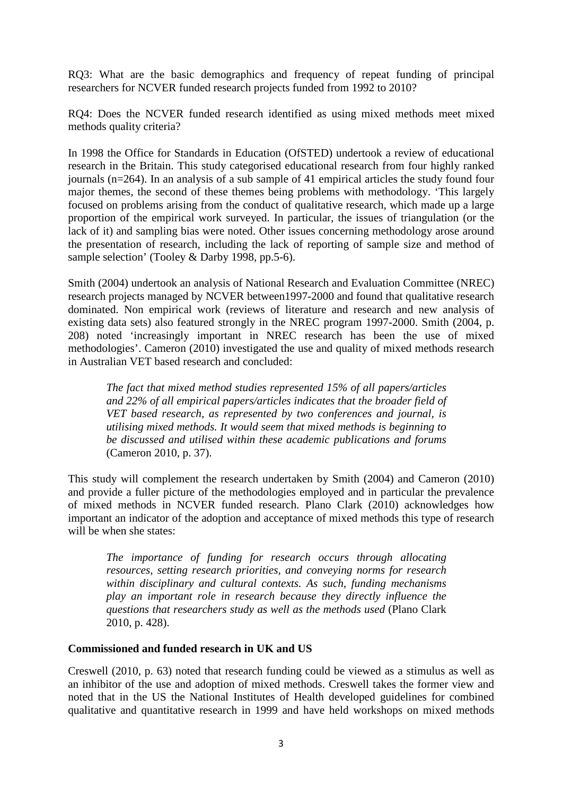RQ3: What are the basic demographics and frequency of repeat funding of principal researchers for NCVER funded research projects funded from 1992 to 2010?

RQ4: Does the NCVER funded research identified as using mixed methods meet mixed methods quality criteria?

In 1998 the Office for Standards in Education (OfSTED) undertook a review of educational research in the Britain. This study categorised educational research from four highly ranked journals (n=264). In an analysis of a sub sample of 41 empirical articles the study found four major themes, the second of these themes being problems with methodology. 'This largely focused on problems arising from the conduct of qualitative research, which made up a large proportion of the empirical work surveyed. In particular, the issues of triangulation (or the lack of it) and sampling bias were noted. Other issues concerning methodology arose around the presentation of research, including the lack of reporting of sample size and method of sample selection' (Tooley & Darby 1998, pp.5-6).

Smith (2004) undertook an analysis of National Research and Evaluation Committee (NREC) research projects managed by NCVER between1997-2000 and found that qualitative research dominated. Non empirical work (reviews of literature and research and new analysis of existing data sets) also featured strongly in the NREC program 1997-2000. Smith (2004, p. 208) noted 'increasingly important in NREC research has been the use of mixed methodologies'. Cameron (2010) investigated the use and quality of mixed methods research in Australian VET based research and concluded:

*The fact that mixed method studies represented 15% of all papers/articles and 22% of all empirical papers/articles indicates that the broader field of VET based research, as represented by two conferences and journal, is utilising mixed methods. It would seem that mixed methods is beginning to be discussed and utilised within these academic publications and forums*  (Cameron 2010, p. 37).

This study will complement the research undertaken by Smith (2004) and Cameron (2010) and provide a fuller picture of the methodologies employed and in particular the prevalence of mixed methods in NCVER funded research. Plano Clark (2010) acknowledges how important an indicator of the adoption and acceptance of mixed methods this type of research will be when she states:

*The importance of funding for research occurs through allocating resources, setting research priorities, and conveying norms for research within disciplinary and cultural contexts. As such, funding mechanisms play an important role in research because they directly influence the questions that researchers study as well as the methods used* (Plano Clark 2010, p. 428).

## **Commissioned and funded research in UK and US**

Creswell (2010, p. 63) noted that research funding could be viewed as a stimulus as well as an inhibitor of the use and adoption of mixed methods. Creswell takes the former view and noted that in the US the National Institutes of Health developed guidelines for combined qualitative and quantitative research in 1999 and have held workshops on mixed methods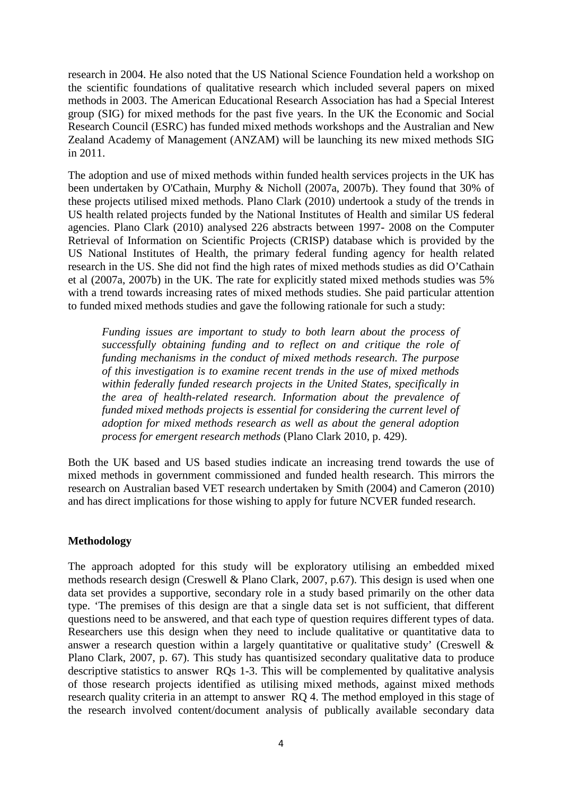research in 2004. He also noted that the US National Science Foundation held a workshop on the scientific foundations of qualitative research which included several papers on mixed methods in 2003. The American Educational Research Association has had a Special Interest group (SIG) for mixed methods for the past five years. In the UK the Economic and Social Research Council (ESRC) has funded mixed methods workshops and the Australian and New Zealand Academy of Management (ANZAM) will be launching its new mixed methods SIG in 2011.

The adoption and use of mixed methods within funded health services projects in the UK has been undertaken by O'Cathain, Murphy & Nicholl (2007a, 2007b). They found that 30% of these projects utilised mixed methods. Plano Clark (2010) undertook a study of the trends in US health related projects funded by the National Institutes of Health and similar US federal agencies. Plano Clark (2010) analysed 226 abstracts between 1997- 2008 on the Computer Retrieval of Information on Scientific Projects (CRISP) database which is provided by the US National Institutes of Health, the primary federal funding agency for health related research in the US. She did not find the high rates of mixed methods studies as did O'Cathain et al (2007a, 2007b) in the UK. The rate for explicitly stated mixed methods studies was 5% with a trend towards increasing rates of mixed methods studies. She paid particular attention to funded mixed methods studies and gave the following rationale for such a study:

*Funding issues are important to study to both learn about the process of successfully obtaining funding and to reflect on and critique the role of funding mechanisms in the conduct of mixed methods research. The purpose of this investigation is to examine recent trends in the use of mixed methods within federally funded research projects in the United States, specifically in the area of health-related research. Information about the prevalence of funded mixed methods projects is essential for considering the current level of adoption for mixed methods research as well as about the general adoption process for emergent research methods* (Plano Clark 2010, p. 429).

Both the UK based and US based studies indicate an increasing trend towards the use of mixed methods in government commissioned and funded health research. This mirrors the research on Australian based VET research undertaken by Smith (2004) and Cameron (2010) and has direct implications for those wishing to apply for future NCVER funded research.

## **Methodology**

The approach adopted for this study will be exploratory utilising an embedded mixed methods research design (Creswell & Plano Clark, 2007, p.67). This design is used when one data set provides a supportive, secondary role in a study based primarily on the other data type. 'The premises of this design are that a single data set is not sufficient, that different questions need to be answered, and that each type of question requires different types of data. Researchers use this design when they need to include qualitative or quantitative data to answer a research question within a largely quantitative or qualitative study' (Creswell & Plano Clark, 2007, p. 67). This study has quantisized secondary qualitative data to produce descriptive statistics to answer RQs 1-3. This will be complemented by qualitative analysis of those research projects identified as utilising mixed methods, against mixed methods research quality criteria in an attempt to answer RQ 4. The method employed in this stage of the research involved content/document analysis of publically available secondary data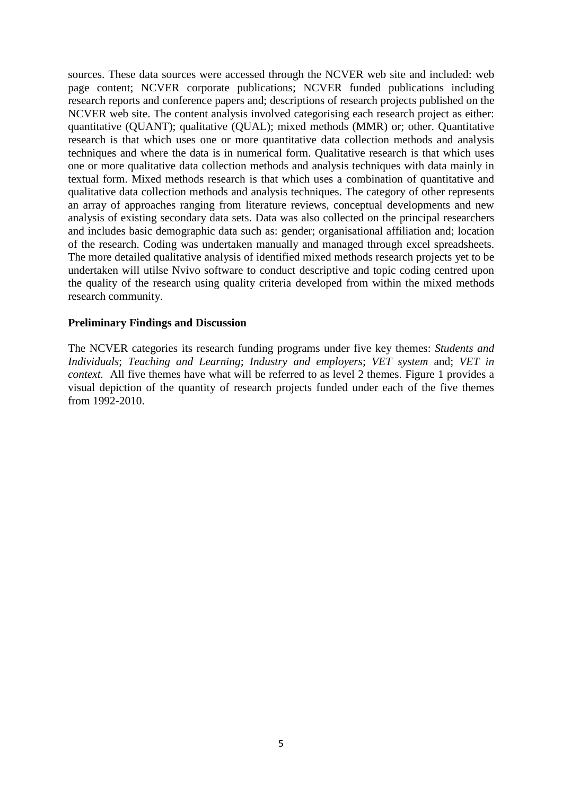sources. These data sources were accessed through the NCVER web site and included: web page content; NCVER corporate publications; NCVER funded publications including research reports and conference papers and; descriptions of research projects published on the NCVER web site. The content analysis involved categorising each research project as either: quantitative (QUANT); qualitative (QUAL); mixed methods (MMR) or; other. Quantitative research is that which uses one or more quantitative data collection methods and analysis techniques and where the data is in numerical form. Qualitative research is that which uses one or more qualitative data collection methods and analysis techniques with data mainly in textual form. Mixed methods research is that which uses a combination of quantitative and qualitative data collection methods and analysis techniques. The category of other represents an array of approaches ranging from literature reviews, conceptual developments and new analysis of existing secondary data sets. Data was also collected on the principal researchers and includes basic demographic data such as: gender; organisational affiliation and; location of the research. Coding was undertaken manually and managed through excel spreadsheets. The more detailed qualitative analysis of identified mixed methods research projects yet to be undertaken will utilse Nvivo software to conduct descriptive and topic coding centred upon the quality of the research using quality criteria developed from within the mixed methods research community.

## **Preliminary Findings and Discussion**

The NCVER categories its research funding programs under five key themes: *Students and Individuals*; *Teaching and Learning*; *Industry and employers*; *VET system* and; *VET in context.* All five themes have what will be referred to as level 2 themes. Figure 1 provides a visual depiction of the quantity of research projects funded under each of the five themes from 1992-2010.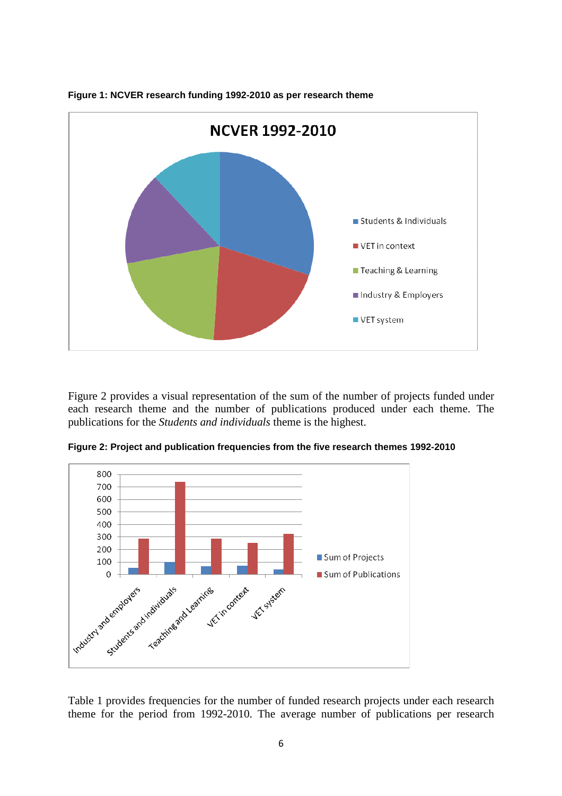

**Figure 1: NCVER research funding 1992-2010 as per research theme** 

Figure 2 provides a visual representation of the sum of the number of projects funded under each research theme and the number of publications produced under each theme. The publications for the *Students and individuals* theme is the highest.



**Figure 2: Project and publication frequencies from the five research themes 1992-2010** 

Table 1 provides frequencies for the number of funded research projects under each research theme for the period from 1992-2010. The average number of publications per research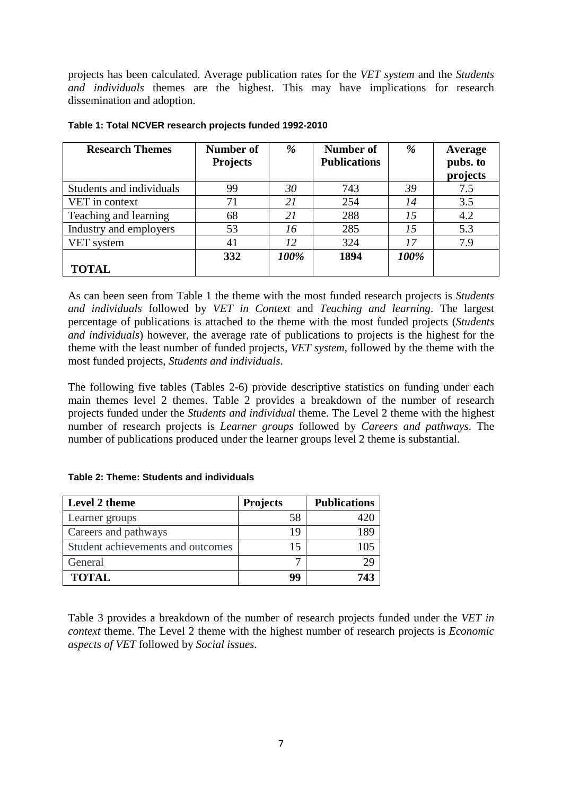projects has been calculated. Average publication rates for the *VET system* and the *Students and individuals* themes are the highest. This may have implications for research dissemination and adoption.

| <b>Research Themes</b>   | Number of<br><b>Projects</b> | %    | Number of<br><b>Publications</b> | %    | Average<br>pubs. to<br>projects |
|--------------------------|------------------------------|------|----------------------------------|------|---------------------------------|
| Students and individuals | 99                           | 30   | 743                              | 39   | 7.5                             |
| VET in context           |                              | 21   | 254                              | 14   | 3.5                             |
| Teaching and learning    | 68                           | 21   | 288                              | 15   | 4.2                             |
| Industry and employers   | 53                           | 16   | 285                              | 15   | 5.3                             |
| VET system               | 41                           | 12   | 324                              | 17   | 7.9                             |
|                          | 332                          | 100% | 1894                             | 100% |                                 |
| <b>TOTAL</b>             |                              |      |                                  |      |                                 |

#### **Table 1: Total NCVER research projects funded 1992-2010**

As can been seen from Table 1 the theme with the most funded research projects is *Students and individuals* followed by *VET in Context* and *Teaching and learning*. The largest percentage of publications is attached to the theme with the most funded projects (*Students and individuals*) however, the average rate of publications to projects is the highest for the theme with the least number of funded projects, *VET system*, followed by the theme with the most funded projects, *Students and individuals*.

The following five tables (Tables 2-6) provide descriptive statistics on funding under each main themes level 2 themes. Table 2 provides a breakdown of the number of research projects funded under the *Students and individual* theme. The Level 2 theme with the highest number of research projects is *Learner groups* followed by *Careers and pathways*. The number of publications produced under the learner groups level 2 theme is substantial.

#### **Table 2: Theme: Students and individuals**

| Level 2 theme                     | <b>Projects</b> | <b>Publications</b> |
|-----------------------------------|-----------------|---------------------|
| Learner groups                    | 58              |                     |
| Careers and pathways              | 19              | 189                 |
| Student achievements and outcomes | 15              | 105                 |
| General                           |                 | 29                  |
| <b>TOTAL</b>                      | 99              | 743                 |

Table 3 provides a breakdown of the number of research projects funded under the *VET in context* theme. The Level 2 theme with the highest number of research projects is *Economic aspects of VET* followed by *Social issues*.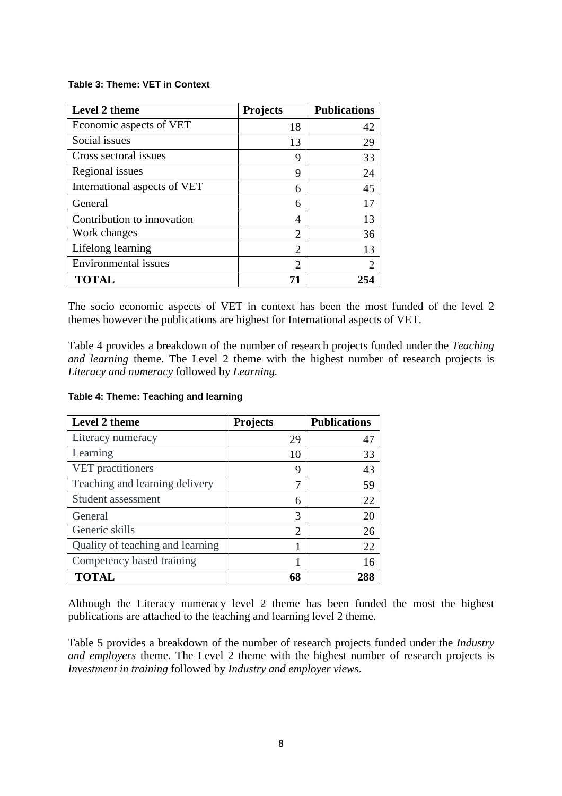#### **Table 3: Theme: VET in Context**

| Level 2 theme                | <b>Projects</b>             | <b>Publications</b> |
|------------------------------|-----------------------------|---------------------|
| Economic aspects of VET      | 18                          | 42                  |
| Social issues                | 13                          | 29                  |
| Cross sectoral issues        | 9                           | 33                  |
| Regional issues              | 9                           | 24                  |
| International aspects of VET | 6                           | 45                  |
| General                      | 6                           | 17                  |
| Contribution to innovation   | 4                           | 13                  |
| Work changes                 | $\overline{2}$              | 36                  |
| Lifelong learning            | $\overline{2}$              | 13                  |
| Environmental issues         | $\mathcal{D}_{\mathcal{A}}$ | $\overline{2}$      |
| <b>TOTAL</b>                 |                             |                     |

The socio economic aspects of VET in context has been the most funded of the level 2 themes however the publications are highest for International aspects of VET.

Table 4 provides a breakdown of the number of research projects funded under the *Teaching and learning* theme. The Level 2 theme with the highest number of research projects is *Literacy and numeracy* followed by *Learning.*

### **Table 4: Theme: Teaching and learning**

| Level 2 theme                    | <b>Projects</b> | <b>Publications</b> |
|----------------------------------|-----------------|---------------------|
| Literacy numeracy                | 29              | 47                  |
| Learning                         | 10              | 33                  |
| VET practitioners                | 9               | 43                  |
| Teaching and learning delivery   |                 | 59                  |
| Student assessment               | 6               | 22                  |
| General                          | 3               | 20                  |
| Generic skills                   | 2               | 26                  |
| Quality of teaching and learning |                 | 22                  |
| Competency based training        |                 | 16                  |
| <b>TOTAL</b>                     | 68              |                     |

Although the Literacy numeracy level 2 theme has been funded the most the highest publications are attached to the teaching and learning level 2 theme.

Table 5 provides a breakdown of the number of research projects funded under the *Industry and employers* theme. The Level 2 theme with the highest number of research projects is *Investment in training* followed by *Industry and employer views*.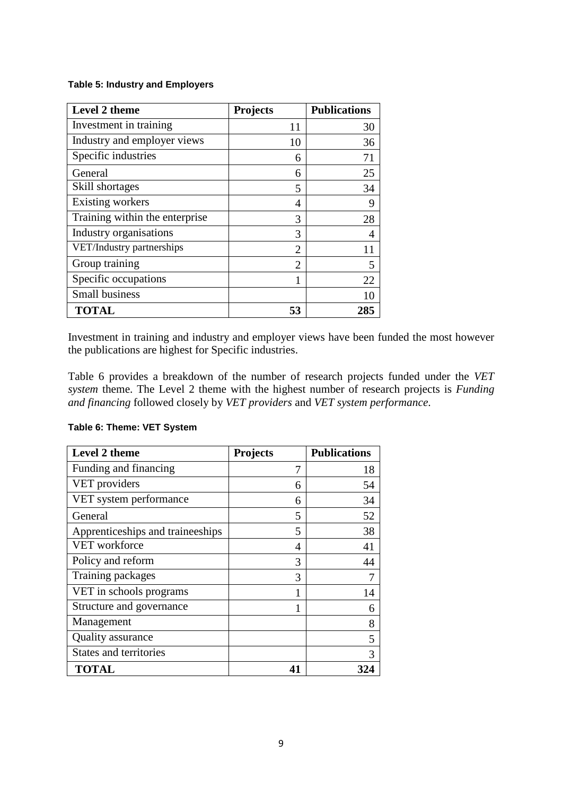### **Table 5: Industry and Employers**

| Level 2 theme                  | <b>Projects</b>             | <b>Publications</b> |
|--------------------------------|-----------------------------|---------------------|
| Investment in training         | 11                          | 30                  |
| Industry and employer views    | 10                          | 36                  |
| Specific industries            | 6                           | 71                  |
| General                        | 6                           | 25                  |
| Skill shortages                | 5                           | 34                  |
| Existing workers               | 4                           | 9                   |
| Training within the enterprise | 3                           | 28                  |
| Industry organisations         | 3                           | 4                   |
| VET/Industry partnerships      | $\overline{2}$              | 11                  |
| Group training                 | $\mathcal{D}_{\mathcal{A}}$ | 5                   |
| Specific occupations           |                             | 22                  |
| <b>Small business</b>          |                             | 10                  |
| <b>TOTAL</b>                   | 53                          | 285                 |

Investment in training and industry and employer views have been funded the most however the publications are highest for Specific industries.

Table 6 provides a breakdown of the number of research projects funded under the *VET system* theme. The Level 2 theme with the highest number of research projects is *Funding and financing* followed closely by *VET providers* and *VET system performance*.

| Level 2 theme                    | <b>Projects</b> | <b>Publications</b> |
|----------------------------------|-----------------|---------------------|
| Funding and financing            | 7               | 18                  |
| VET providers                    | 6               | 54                  |
| VET system performance           | 6               | 34                  |
| General                          | 5               | 52                  |
| Apprenticeships and traineeships | 5               | 38                  |
| <b>VET</b> workforce             | 4               | 41                  |
| Policy and reform                | 3               | 44                  |
| Training packages                | 3               | 7                   |
| VET in schools programs          |                 | 14                  |
| Structure and governance         |                 | 6                   |
| Management                       |                 | 8                   |
| Quality assurance                |                 | 5                   |
| <b>States and territories</b>    |                 | 3                   |
| <b>TOTAL</b>                     | 41              | 324                 |

## **Table 6: Theme: VET System**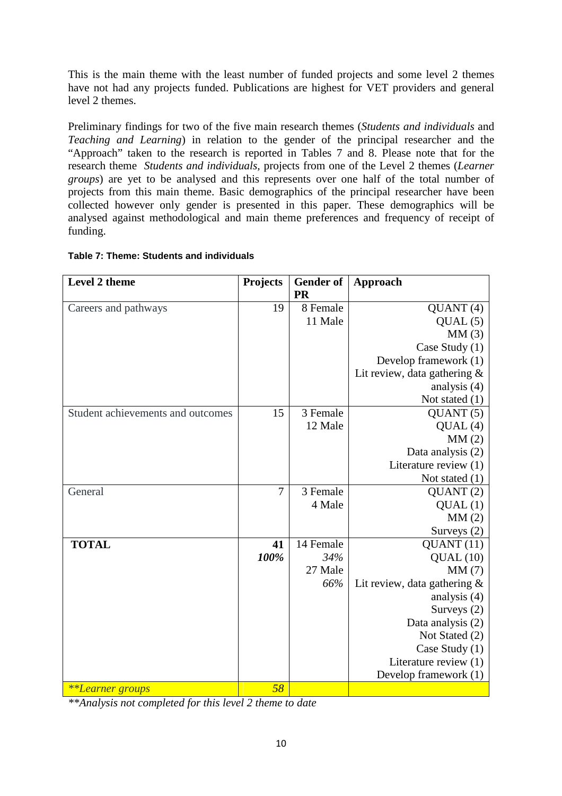This is the main theme with the least number of funded projects and some level 2 themes have not had any projects funded. Publications are highest for VET providers and general level 2 themes.

Preliminary findings for two of the five main research themes (*Students and individuals* and *Teaching and Learning*) in relation to the gender of the principal researcher and the "Approach" taken to the research is reported in Tables 7 and 8. Please note that for the research theme *Students and individuals,* projects from one of the Level 2 themes (*Learner groups*) are yet to be analysed and this represents over one half of the total number of projects from this main theme. Basic demographics of the principal researcher have been collected however only gender is presented in this paper. These demographics will be analysed against methodological and main theme preferences and frequency of receipt of funding.

| Level 2 theme                     | <b>Projects</b> | <b>Gender of</b><br><b>PR</b> | Approach                                                 |
|-----------------------------------|-----------------|-------------------------------|----------------------------------------------------------|
|                                   | 19              | 8 Female                      |                                                          |
| Careers and pathways              |                 | 11 Male                       | QUANT(4)                                                 |
|                                   |                 |                               | QUAL(5)                                                  |
|                                   |                 |                               | MM(3)<br>Case Study (1)                                  |
|                                   |                 |                               |                                                          |
|                                   |                 |                               | Develop framework (1)<br>Lit review, data gathering $\&$ |
|                                   |                 |                               | analysis (4)                                             |
|                                   |                 |                               | Not stated $(1)$                                         |
| Student achievements and outcomes | 15              | 3 Female                      | QUANT(5)                                                 |
|                                   |                 | 12 Male                       | QUAL(4)                                                  |
|                                   |                 |                               | MM(2)                                                    |
|                                   |                 |                               | Data analysis (2)                                        |
|                                   |                 |                               | Literature review (1)                                    |
|                                   |                 |                               | Not stated $(1)$                                         |
| General                           | 7               | 3 Female                      | QUANT(2)                                                 |
|                                   |                 | 4 Male                        | QUAL(1)                                                  |
|                                   |                 |                               | MM(2)                                                    |
|                                   |                 |                               | Surveys (2)                                              |
| <b>TOTAL</b>                      | 41              | 14 Female                     | QUANT(11)                                                |
|                                   | 100%            | 34%                           | QUAL(10)                                                 |
|                                   |                 | 27 Male                       | MM(7)                                                    |
|                                   |                 | 66%                           | Lit review, data gathering $\&$                          |
|                                   |                 |                               | analysis (4)                                             |
|                                   |                 |                               | Surveys (2)                                              |
|                                   |                 |                               | Data analysis (2)                                        |
|                                   |                 |                               | Not Stated (2)                                           |
|                                   |                 |                               | Case Study (1)                                           |
|                                   |                 |                               | Literature review (1)                                    |
|                                   |                 |                               | Develop framework (1)                                    |
| **Learner groups                  | 58              |                               |                                                          |

# **Table 7: Theme: Students and individuals**

*\*\*Analysis not completed for this level 2 theme to date*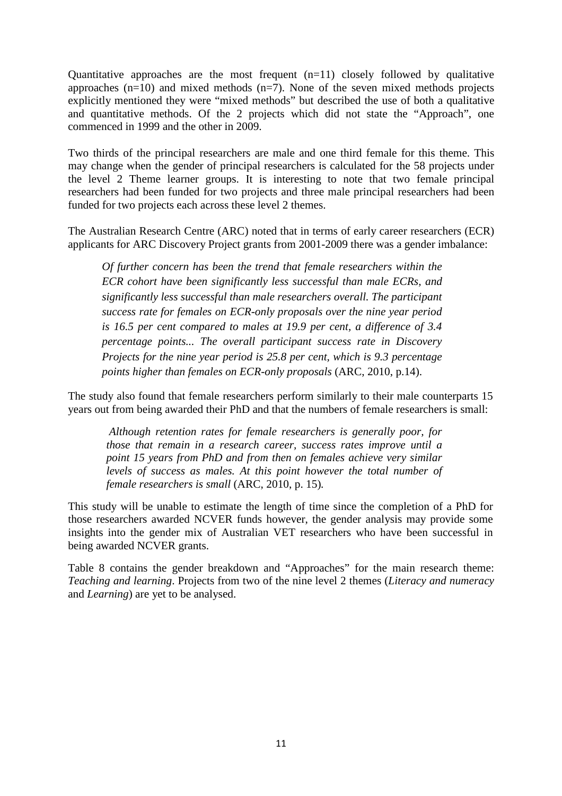Quantitative approaches are the most frequent  $(n=11)$  closely followed by qualitative approaches  $(n=10)$  and mixed methods  $(n=7)$ . None of the seven mixed methods projects explicitly mentioned they were "mixed methods" but described the use of both a qualitative and quantitative methods. Of the 2 projects which did not state the "Approach", one commenced in 1999 and the other in 2009.

Two thirds of the principal researchers are male and one third female for this theme. This may change when the gender of principal researchers is calculated for the 58 projects under the level 2 Theme learner groups. It is interesting to note that two female principal researchers had been funded for two projects and three male principal researchers had been funded for two projects each across these level 2 themes.

The Australian Research Centre (ARC) noted that in terms of early career researchers (ECR) applicants for ARC Discovery Project grants from 2001-2009 there was a gender imbalance:

*Of further concern has been the trend that female researchers within the ECR cohort have been significantly less successful than male ECRs, and significantly less successful than male researchers overall. The participant success rate for females on ECR-only proposals over the nine year period is 16.5 per cent compared to males at 19.9 per cent, a difference of 3.4 percentage points... The overall participant success rate in Discovery Projects for the nine year period is 25.8 per cent, which is 9.3 percentage points higher than females on ECR-only proposals* (ARC, 2010, p.14).

The study also found that female researchers perform similarly to their male counterparts 15 years out from being awarded their PhD and that the numbers of female researchers is small:

*Although retention rates for female researchers is generally poor, for those that remain in a research career, success rates improve until a point 15 years from PhD and from then on females achieve very similar levels of success as males. At this point however the total number of female researchers is small* (ARC, 2010, p. 15)*.* 

This study will be unable to estimate the length of time since the completion of a PhD for those researchers awarded NCVER funds however, the gender analysis may provide some insights into the gender mix of Australian VET researchers who have been successful in being awarded NCVER grants.

Table 8 contains the gender breakdown and "Approaches" for the main research theme: *Teaching and learning*. Projects from two of the nine level 2 themes (*Literacy and numeracy*  and *Learning*) are yet to be analysed.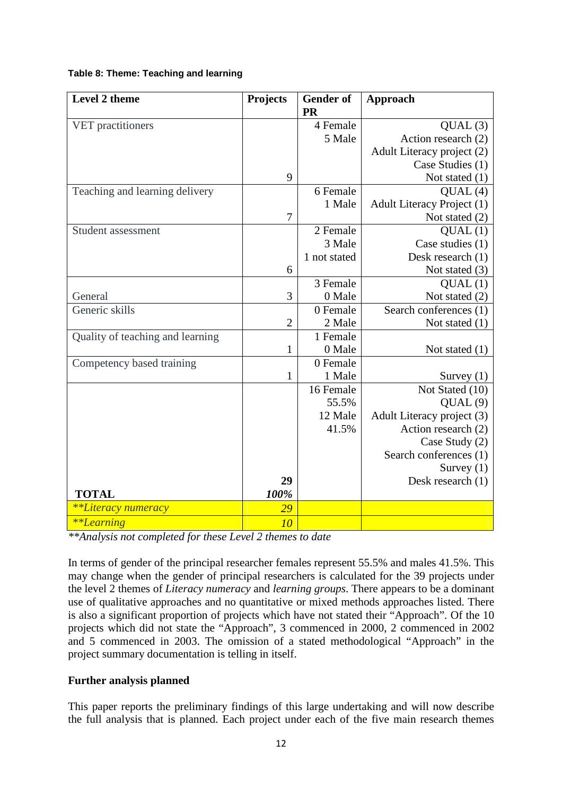## **Table 8: Theme: Teaching and learning**

| Level 2 theme                              | Projects                           | <b>Gender</b> of<br><b>PR</b> | Approach                   |
|--------------------------------------------|------------------------------------|-------------------------------|----------------------------|
| VET practitioners                          |                                    | 4 Female                      | QUAL(3)                    |
|                                            |                                    | 5 Male                        | Action research (2)        |
|                                            |                                    |                               | Adult Literacy project (2) |
|                                            |                                    |                               | Case Studies (1)           |
|                                            | 9                                  |                               | Not stated $(1)$           |
| Teaching and learning delivery             |                                    | 6 Female                      | QUAL(4)                    |
|                                            |                                    | 1 Male                        | Adult Literacy Project (1) |
|                                            | 7                                  |                               | Not stated (2)             |
| Student assessment                         |                                    | 2 Female                      | QUAL(1)                    |
|                                            |                                    | 3 Male                        | Case studies (1)           |
|                                            |                                    | 1 not stated                  | Desk research (1)          |
|                                            | 6                                  |                               | Not stated (3)             |
|                                            |                                    | 3 Female                      | QUAL(1)                    |
| General                                    | 3                                  | 0 Male                        | Not stated (2)             |
| Generic skills                             |                                    | 0 Female                      | Search conferences (1)     |
|                                            | $\overline{2}$                     | 2 Male                        | Not stated $(1)$           |
| Quality of teaching and learning           |                                    | 1 Female                      |                            |
|                                            | 1                                  | 0 Male                        | Not stated $(1)$           |
| Competency based training                  |                                    | 0 Female                      |                            |
|                                            | $\mathbf{1}$                       | 1 Male                        | Survey $(1)$               |
|                                            |                                    | 16 Female                     | Not Stated (10)            |
|                                            |                                    | 55.5%                         | QUAL(9)                    |
|                                            |                                    | 12 Male                       | Adult Literacy project (3) |
|                                            |                                    | 41.5%                         | Action research (2)        |
|                                            |                                    |                               | Case Study (2)             |
|                                            |                                    |                               | Search conferences (1)     |
|                                            |                                    |                               | Survey $(1)$               |
|                                            | 29                                 |                               | Desk research (1)          |
| <b>TOTAL</b>                               | 100%                               |                               |                            |
| <i>**Literacy numeracy</i>                 | 29                                 |                               |                            |
| **Learning<br>$\mathbf{r}$<br>$\mathbf{r}$ | 10<br>$\mathbf{1} \cap \mathbf{1}$ |                               |                            |

*\*\*Analysis not completed for these Level 2 themes to date* 

In terms of gender of the principal researcher females represent 55.5% and males 41.5%. This may change when the gender of principal researchers is calculated for the 39 projects under the level 2 themes of *Literacy numeracy* and *learning groups*. There appears to be a dominant use of qualitative approaches and no quantitative or mixed methods approaches listed. There is also a significant proportion of projects which have not stated their "Approach". Of the 10 projects which did not state the "Approach", 3 commenced in 2000, 2 commenced in 2002 and 5 commenced in 2003. The omission of a stated methodological "Approach" in the project summary documentation is telling in itself.

# **Further analysis planned**

This paper reports the preliminary findings of this large undertaking and will now describe the full analysis that is planned. Each project under each of the five main research themes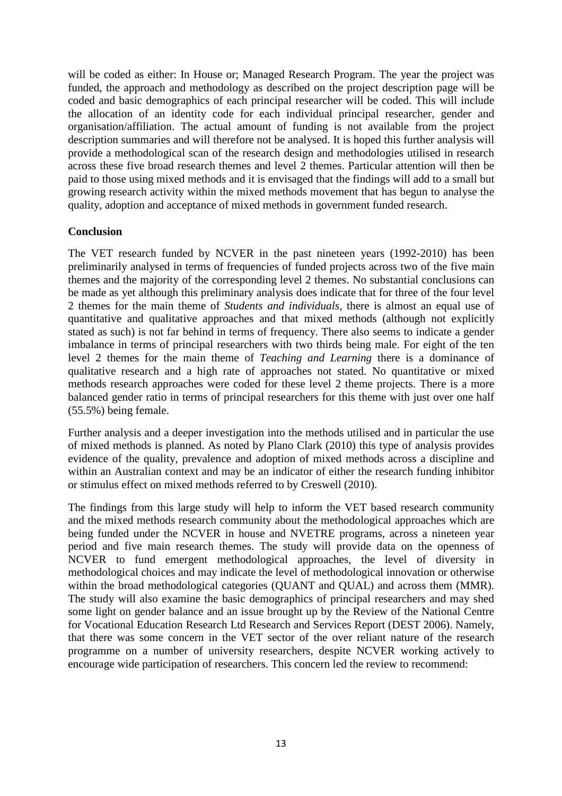will be coded as either: In House or; Managed Research Program. The year the project was funded, the approach and methodology as described on the project description page will be coded and basic demographics of each principal researcher will be coded. This will include the allocation of an identity code for each individual principal researcher, gender and organisation/affiliation. The actual amount of funding is not available from the project description summaries and will therefore not be analysed. It is hoped this further analysis will provide a methodological scan of the research design and methodologies utilised in research across these five broad research themes and level 2 themes. Particular attention will then be paid to those using mixed methods and it is envisaged that the findings will add to a small but growing research activity within the mixed methods movement that has begun to analyse the quality, adoption and acceptance of mixed methods in government funded research.

## **Conclusion**

The VET research funded by NCVER in the past nineteen years (1992-2010) has been preliminarily analysed in terms of frequencies of funded projects across two of the five main themes and the majority of the corresponding level 2 themes. No substantial conclusions can be made as yet although this preliminary analysis does indicate that for three of the four level 2 themes for the main theme of *Students and individuals,* there is almost an equal use of quantitative and qualitative approaches and that mixed methods (although not explicitly stated as such) is not far behind in terms of frequency. There also seems to indicate a gender imbalance in terms of principal researchers with two thirds being male. For eight of the ten level 2 themes for the main theme of *Teaching and Learning* there is a dominance of qualitative research and a high rate of approaches not stated. No quantitative or mixed methods research approaches were coded for these level 2 theme projects. There is a more balanced gender ratio in terms of principal researchers for this theme with just over one half (55.5%) being female.

Further analysis and a deeper investigation into the methods utilised and in particular the use of mixed methods is planned. As noted by Plano Clark (2010) this type of analysis provides evidence of the quality, prevalence and adoption of mixed methods across a discipline and within an Australian context and may be an indicator of either the research funding inhibitor or stimulus effect on mixed methods referred to by Creswell (2010).

The findings from this large study will help to inform the VET based research community and the mixed methods research community about the methodological approaches which are being funded under the NCVER in house and NVETRE programs, across a nineteen year period and five main research themes. The study will provide data on the openness of NCVER to fund emergent methodological approaches, the level of diversity in methodological choices and may indicate the level of methodological innovation or otherwise within the broad methodological categories (QUANT and QUAL) and across them (MMR). The study will also examine the basic demographics of principal researchers and may shed some light on gender balance and an issue brought up by the Review of the National Centre for Vocational Education Research Ltd Research and Services Report (DEST 2006). Namely, that there was some concern in the VET sector of the over reliant nature of the research programme on a number of university researchers, despite NCVER working actively to encourage wide participation of researchers. This concern led the review to recommend: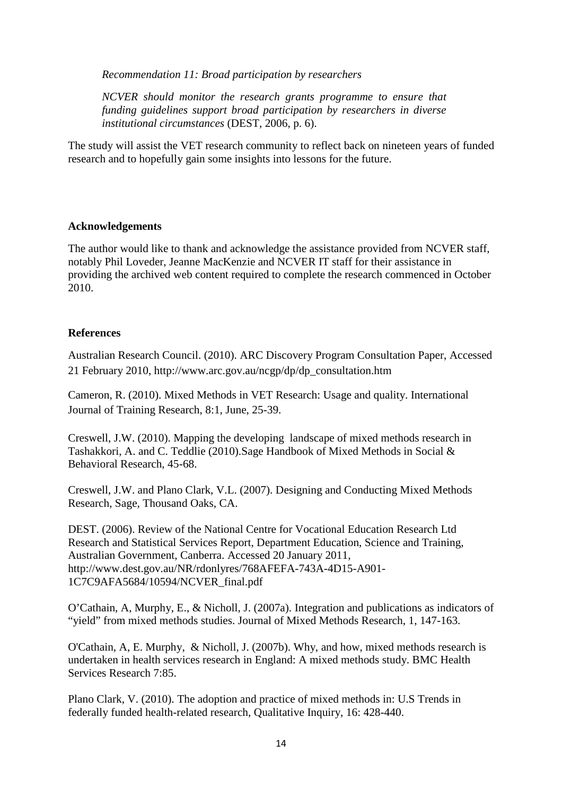*Recommendation 11: Broad participation by researchers* 

*NCVER should monitor the research grants programme to ensure that funding guidelines support broad participation by researchers in diverse institutional circumstances* (DEST, 2006, p. 6).

The study will assist the VET research community to reflect back on nineteen years of funded research and to hopefully gain some insights into lessons for the future.

### **Acknowledgements**

The author would like to thank and acknowledge the assistance provided from NCVER staff, notably Phil Loveder, Jeanne MacKenzie and NCVER IT staff for their assistance in providing the archived web content required to complete the research commenced in October 2010.

## **References**

Australian Research Council. (2010). ARC Discovery Program Consultation Paper, Accessed 21 February 2010, http://www.arc.gov.au/ncgp/dp/dp\_consultation.htm

Cameron, R. (2010). Mixed Methods in VET Research: Usage and quality. International Journal of Training Research, 8:1, June, 25-39.

Creswell, J.W. (2010). Mapping the developing landscape of mixed methods research in Tashakkori, A. and C. Teddlie (2010).Sage Handbook of Mixed Methods in Social & Behavioral Research, 45-68.

Creswell, J.W. and Plano Clark, V.L. (2007). Designing and Conducting Mixed Methods Research, Sage, Thousand Oaks, CA.

DEST. (2006). Review of the National Centre for Vocational Education Research Ltd Research and Statistical Services Report, Department Education, Science and Training, Australian Government, Canberra. Accessed 20 January 2011, http://www.dest.gov.au/NR/rdonlyres/768AFEFA-743A-4D15-A901- 1C7C9AFA5684/10594/NCVER\_final.pdf

O'Cathain, A, Murphy, E., & Nicholl, J. (2007a). Integration and publications as indicators of "yield" from mixed methods studies. Journal of Mixed Methods Research, 1, 147-163.

O'Cathain, A, E. Murphy, & Nicholl, J. (2007b). Why, and how, mixed methods research is undertaken in health services research in England: A mixed methods study. BMC Health Services Research 7:85.

Plano Clark, V. (2010). The adoption and practice of mixed methods in: U.S Trends in federally funded health-related research, Qualitative Inquiry, 16: 428-440.